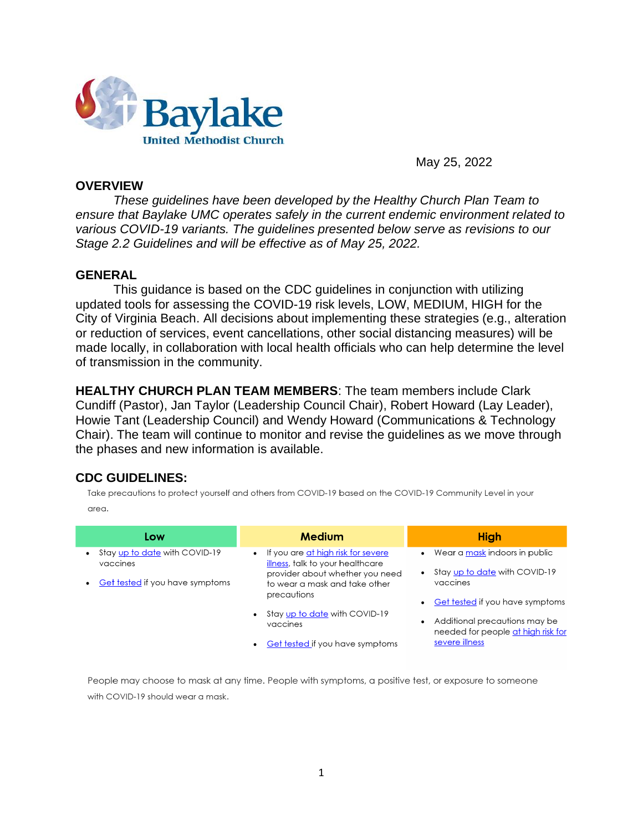

May 25, 2022

## **OVERVIEW**

*These guidelines have been developed by the Healthy Church Plan Team to ensure that Baylake UMC operates safely in the current endemic environment related to various COVID-19 variants. The guidelines presented below serve as revisions to our Stage 2.2 Guidelines and will be effective as of May 25, 2022.* 

### **GENERAL**

This guidance is based on the CDC guidelines in conjunction with utilizing updated tools for assessing the COVID-19 risk levels, LOW, MEDIUM, HIGH for the City of Virginia Beach. All decisions about implementing these strategies (e.g., alteration or reduction of services, event cancellations, other social distancing measures) will be made locally, in collaboration with local health officials who can help determine the level of transmission in the community.

**HEALTHY CHURCH PLAN TEAM MEMBERS**: The team members include Clark Cundiff (Pastor), Jan Taylor (Leadership Council Chair), Robert Howard (Lay Leader), Howie Tant (Leadership Council) and Wendy Howard (Communications & Technology Chair). The team will continue to monitor and revise the guidelines as we move through the phases and new information is available.

## **CDC GUIDELINES:**

Take precautions to protect yourself and others from COVID-19 based on the COVID-19 Community Level in your area.

| Low                                                                                  | <b>Medium</b>                                                            | <b>High</b>                                                         |
|--------------------------------------------------------------------------------------|--------------------------------------------------------------------------|---------------------------------------------------------------------|
| Stay up to date with COVID-19<br>vaccines                                            | • If you are at high risk for severe<br>illness, talk to your healthcare | Wear a mask indoors in public                                       |
| Get tested if you have symptoms<br>precautions<br>$\bullet$<br>vaccines<br>$\bullet$ | provider about whether you need<br>to wear a mask and take other         | Stay up to date with COVID-19<br>vaccines                           |
|                                                                                      |                                                                          | Get tested if you have symptoms                                     |
|                                                                                      | Stay up to date with COVID-19                                            | Additional precautions may be<br>needed for people at high risk for |
|                                                                                      | Get tested if you have symptoms                                          | severe illness                                                      |

People may choose to mask at any time. People with symptoms, a positive test, or exposure to someone with COVID-19 should wear a mask.